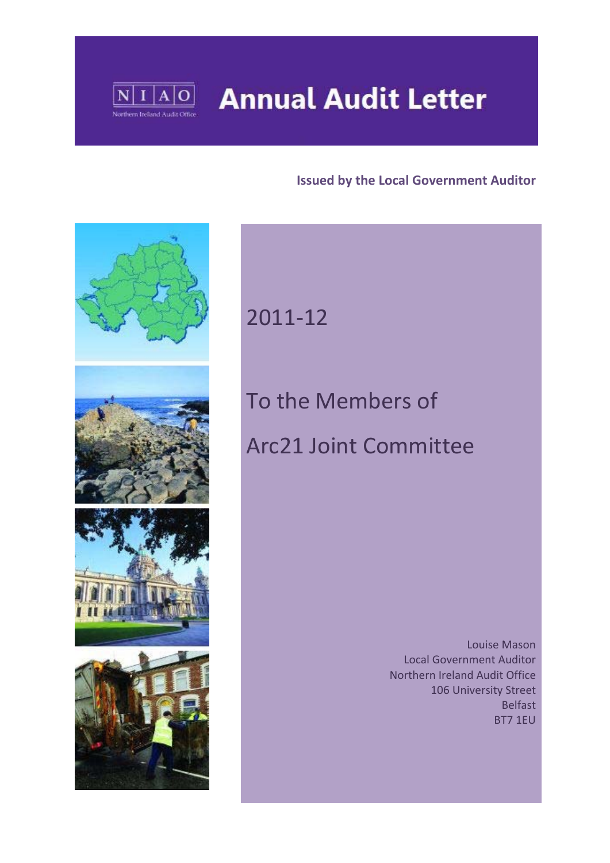

## **Annual Audit Letter**

#### **Issued by the Local Government Auditor**



## 2011‐12

# To the Members of Arc21 Joint Committee

 Louise Mason Local Government Auditor Northern Ireland Audit Office 106 University Street Belfast BT7 1EU

1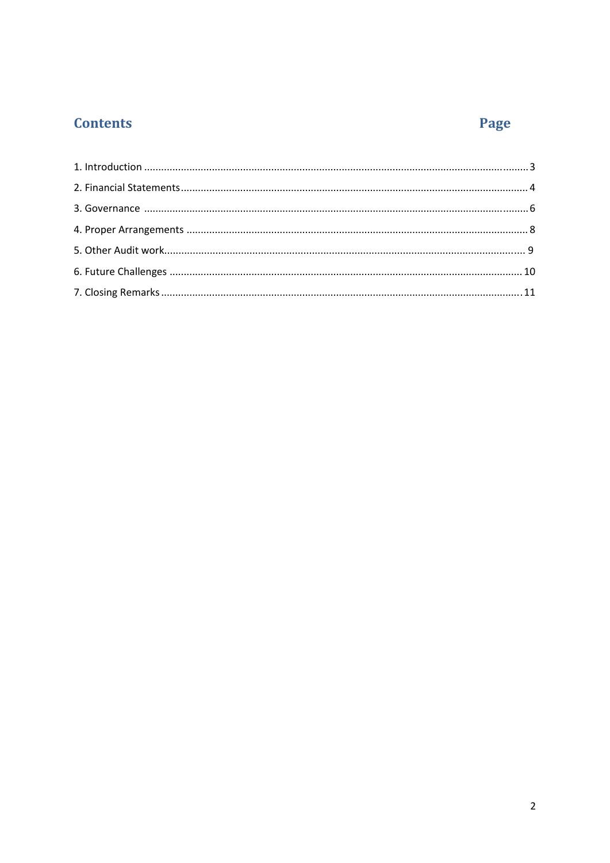### **Contents**

### Page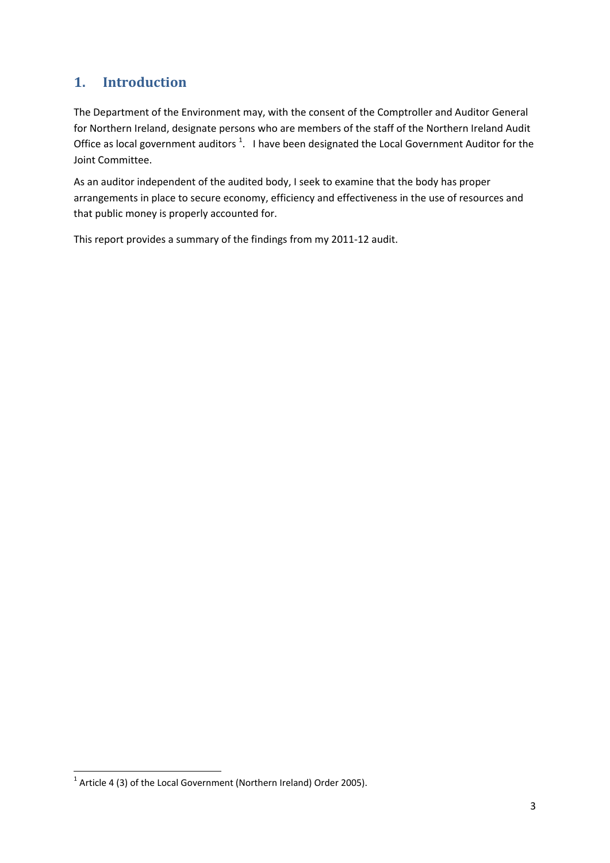#### **1. Introduction**

The Department of the Environment may, with the consent of the Comptroller and Auditor General for Northern Ireland, designate persons who are members of the staff of the Northern Ireland Audit Office as local government auditors <sup>1</sup>. I have been designated the Local Government Auditor for the Joint Committee.

As an auditor independent of the audited body, I seek to examine that the body has proper arrangements in place to secure economy, efficiency and effectiveness in the use of resources and that public money is properly accounted for.

This report provides a summary of the findings from my 2011‐12 audit.

 $1$  Article 4 (3) of the Local Government (Northern Ireland) Order 2005).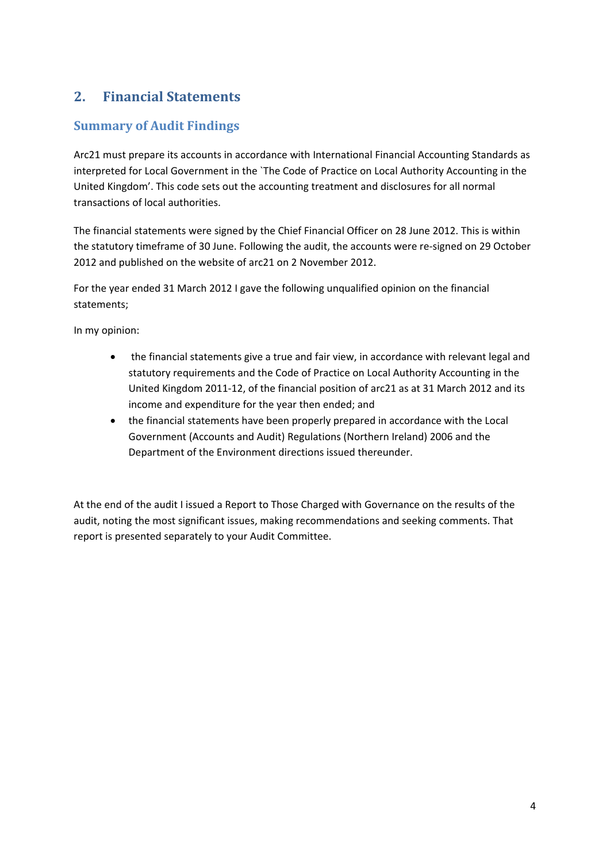#### **2. Financial Statements**

#### **Summary of Audit Findings**

Arc21 must prepare its accounts in accordance with International Financial Accounting Standards as interpreted for Local Government in the `The Code of Practice on Local Authority Accounting in the United Kingdom'. This code sets out the accounting treatment and disclosures for all normal transactions of local authorities.

The financial statements were signed by the Chief Financial Officer on 28 June 2012. This is within the statutory timeframe of 30 June. Following the audit, the accounts were re‐signed on 29 October 2012 and published on the website of arc21 on 2 November 2012.

For the year ended 31 March 2012 I gave the following unqualified opinion on the financial statements;

In my opinion:

- the financial statements give a true and fair view, in accordance with relevant legal and statutory requirements and the Code of Practice on Local Authority Accounting in the United Kingdom 2011‐12, of the financial position of arc21 as at 31 March 2012 and its income and expenditure for the year then ended; and
- the financial statements have been properly prepared in accordance with the Local Government (Accounts and Audit) Regulations (Northern Ireland) 2006 and the Department of the Environment directions issued thereunder.

At the end of the audit I issued a Report to Those Charged with Governance on the results of the audit, noting the most significant issues, making recommendations and seeking comments. That report is presented separately to your Audit Committee.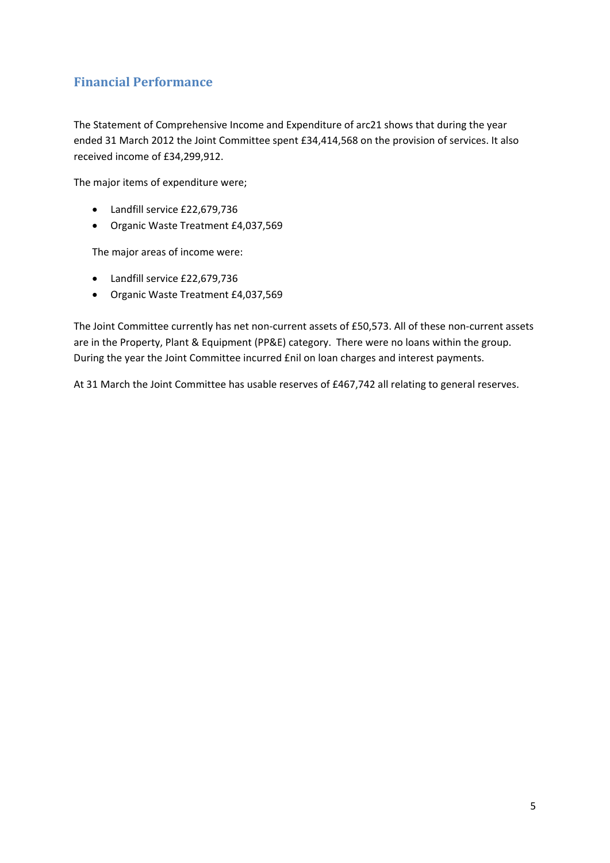#### **Financial Performance**

The Statement of Comprehensive Income and Expenditure of arc21 shows that during the year ended 31 March 2012 the Joint Committee spent £34,414,568 on the provision of services. It also received income of £34,299,912.

The major items of expenditure were;

- Landfill service £22,679,736
- Organic Waste Treatment £4,037,569

The major areas of income were:

- Landfill service £22,679,736
- Organic Waste Treatment £4,037,569

The Joint Committee currently has net non-current assets of £50,573. All of these non-current assets are in the Property, Plant & Equipment (PP&E) category. There were no loans within the group. During the year the Joint Committee incurred £nil on loan charges and interest payments.

At 31 March the Joint Committee has usable reserves of £467,742 all relating to general reserves.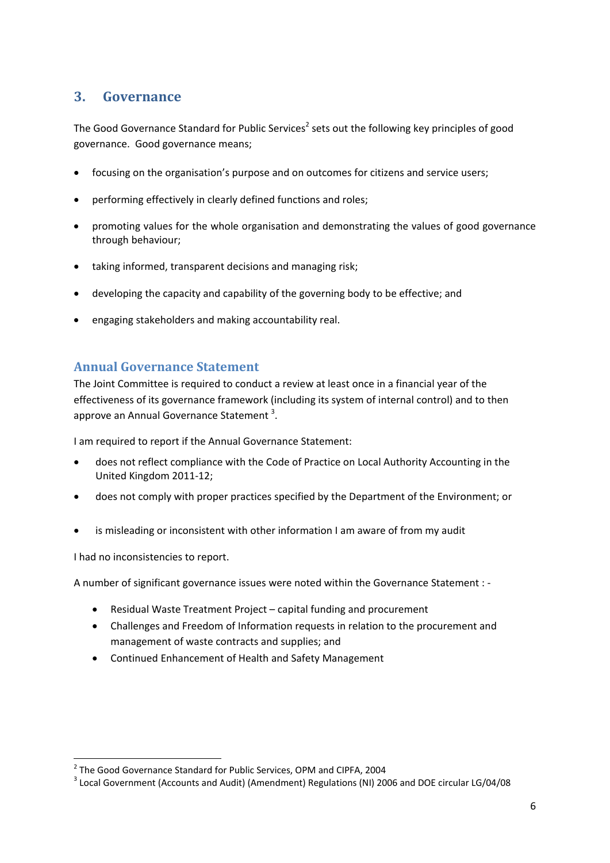#### **3. Governance**

The Good Governance Standard for Public Services<sup>2</sup> sets out the following key principles of good governance. Good governance means;

- focusing on the organisation's purpose and on outcomes for citizens and service users;
- performing effectively in clearly defined functions and roles;
- promoting values for the whole organisation and demonstrating the values of good governance through behaviour;
- taking informed, transparent decisions and managing risk;
- developing the capacity and capability of the governing body to be effective; and
- engaging stakeholders and making accountability real.

#### **Annual Governance Statement**

The Joint Committee is required to conduct a review at least once in a financial year of the effectiveness of its governance framework (including its system of internal control) and to then approve an Annual Governance Statement<sup>3</sup>.

I am required to report if the Annual Governance Statement:

- does not reflect compliance with the Code of Practice on Local Authority Accounting in the United Kingdom 2011‐12;
- does not comply with proper practices specified by the Department of the Environment; or
- is misleading or inconsistent with other information I am aware of from my audit

I had no inconsistencies to report.

A number of significant governance issues were noted within the Governance Statement : ‐

- Residual Waste Treatment Project capital funding and procurement
- Challenges and Freedom of Information requests in relation to the procurement and management of waste contracts and supplies; and
- Continued Enhancement of Health and Safety Management

<sup>&</sup>lt;sup>2</sup> The Good Governance Standard for Public Services, OPM and CIPFA, 2004<br><sup>3</sup> Local Government (Accounts and Audit) (Amendment) Regulations (NI) 2006 and DOE circular LG/04/08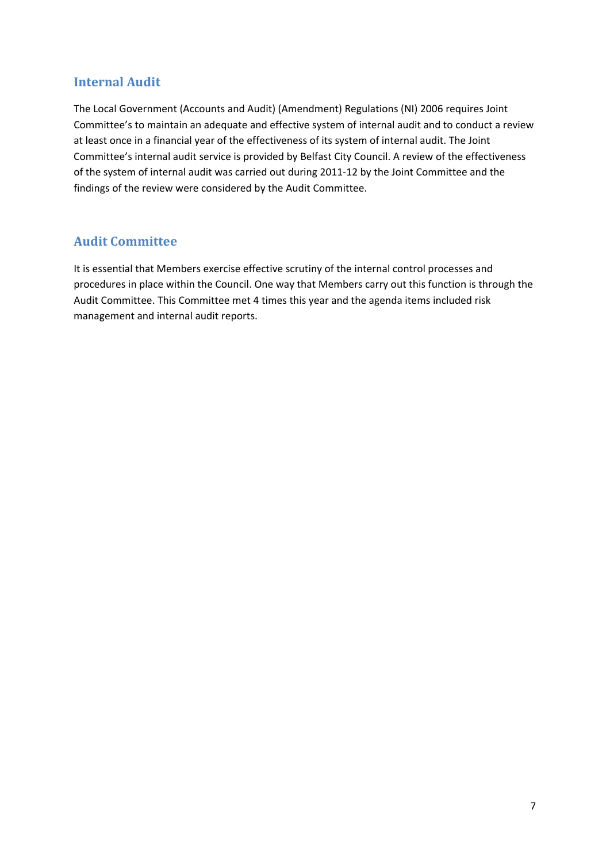#### **Internal Audit**

The Local Government (Accounts and Audit) (Amendment) Regulations (NI) 2006 requires Joint Committee's to maintain an adequate and effective system of internal audit and to conduct a review at least once in a financial year of the effectiveness of its system of internal audit. The Joint Committee's internal audit service is provided by Belfast City Council. A review of the effectiveness of the system of internal audit was carried out during 2011‐12 by the Joint Committee and the findings of the review were considered by the Audit Committee.

#### **Audit Committee**

It is essential that Members exercise effective scrutiny of the internal control processes and procedures in place within the Council. One way that Members carry out this function is through the Audit Committee. This Committee met 4 times this year and the agenda items included risk management and internal audit reports.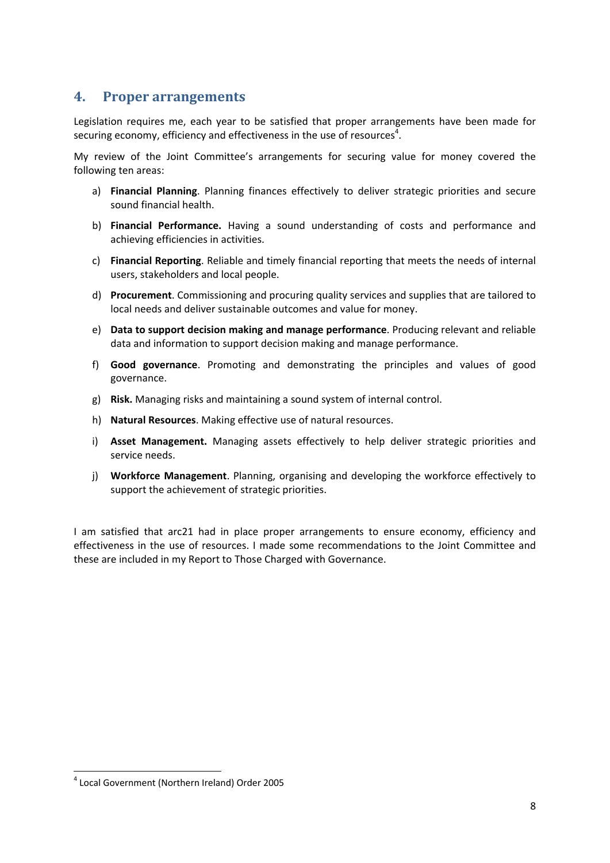#### **4. Proper arrangements**

Legislation requires me, each year to be satisfied that proper arrangements have been made for securing economy, efficiency and effectiveness in the use of resources<sup>4</sup>.

My review of the Joint Committee's arrangements for securing value for money covered the following ten areas:

- a) **Financial Planning**. Planning finances effectively to deliver strategic priorities and secure sound financial health.
- b) **Financial Performance.** Having a sound understanding of costs and performance and achieving efficiencies in activities.
- c) **Financial Reporting**. Reliable and timely financial reporting that meets the needs of internal users, stakeholders and local people.
- d) **Procurement**. Commissioning and procuring quality services and supplies that are tailored to local needs and deliver sustainable outcomes and value for money.
- e) **Data to support decision making and manage performance**. Producing relevant and reliable data and information to support decision making and manage performance.
- f) **Good governance**. Promoting and demonstrating the principles and values of good governance.
- g) **Risk.** Managing risks and maintaining a sound system of internal control.
- h) **Natural Resources**. Making effective use of natural resources.
- i) **Asset Management.** Managing assets effectively to help deliver strategic priorities and service needs.
- j) **Workforce Management**. Planning, organising and developing the workforce effectively to support the achievement of strategic priorities.

I am satisfied that arc21 had in place proper arrangements to ensure economy, efficiency and effectiveness in the use of resources. I made some recommendations to the Joint Committee and these are included in my Report to Those Charged with Governance.

<sup>4</sup> Local Government (Northern Ireland) Order 2005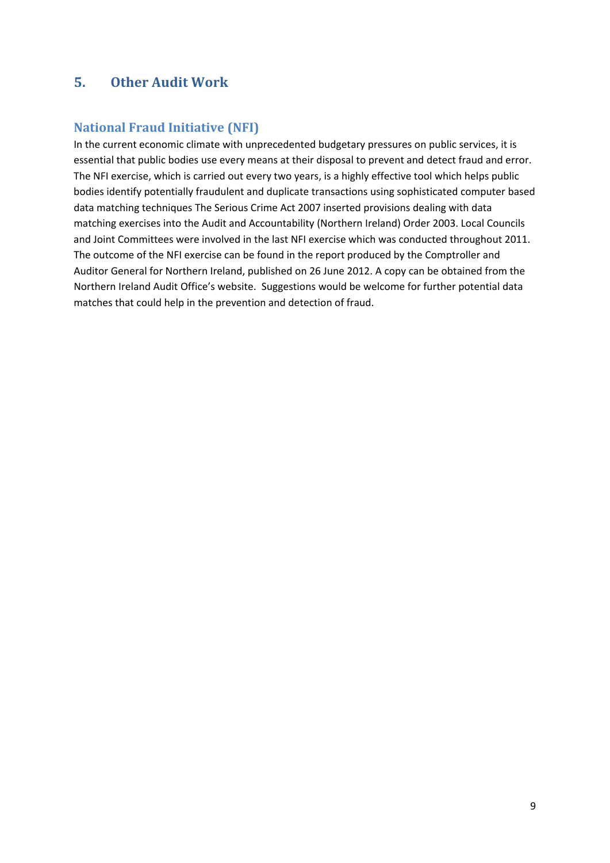#### **5. Other Audit Work**

#### **National Fraud Initiative (NFI)**

In the current economic climate with unprecedented budgetary pressures on public services, it is essential that public bodies use every means at their disposal to prevent and detect fraud and error. The NFI exercise, which is carried out every two years, is a highly effective tool which helps public bodies identify potentially fraudulent and duplicate transactions using sophisticated computer based data matching techniques The Serious Crime Act 2007 inserted provisions dealing with data matching exercises into the Audit and Accountability (Northern Ireland) Order 2003. Local Councils and Joint Committees were involved in the last NFI exercise which was conducted throughout 2011. The outcome of the NFI exercise can be found in the report produced by the Comptroller and Auditor General for Northern Ireland, published on 26 June 2012. A copy can be obtained from the Northern Ireland Audit Office's website. Suggestions would be welcome for further potential data matches that could help in the prevention and detection of fraud.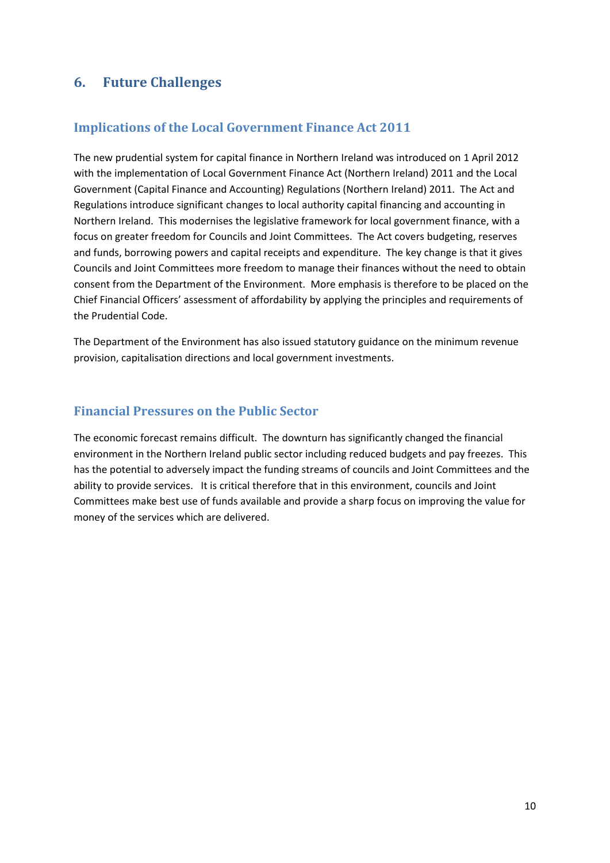#### **6. Future Challenges**

#### **Implications of the Local Government Finance Act 2011**

The new prudential system for capital finance in Northern Ireland was introduced on 1 April 2012 with the implementation of Local Government Finance Act (Northern Ireland) 2011 and the Local Government (Capital Finance and Accounting) Regulations (Northern Ireland) 2011. The Act and Regulations introduce significant changes to local authority capital financing and accounting in Northern Ireland. This modernises the legislative framework for local government finance, with a focus on greater freedom for Councils and Joint Committees. The Act covers budgeting, reserves and funds, borrowing powers and capital receipts and expenditure. The key change is that it gives Councils and Joint Committees more freedom to manage their finances without the need to obtain consent from the Department of the Environment. More emphasis is therefore to be placed on the Chief Financial Officers' assessment of affordability by applying the principles and requirements of the Prudential Code.

The Department of the Environment has also issued statutory guidance on the minimum revenue provision, capitalisation directions and local government investments.

#### **Financial Pressures on the Public Sector**

The economic forecast remains difficult. The downturn has significantly changed the financial environment in the Northern Ireland public sector including reduced budgets and pay freezes. This has the potential to adversely impact the funding streams of councils and Joint Committees and the ability to provide services. It is critical therefore that in this environment, councils and Joint Committees make best use of funds available and provide a sharp focus on improving the value for money of the services which are delivered.